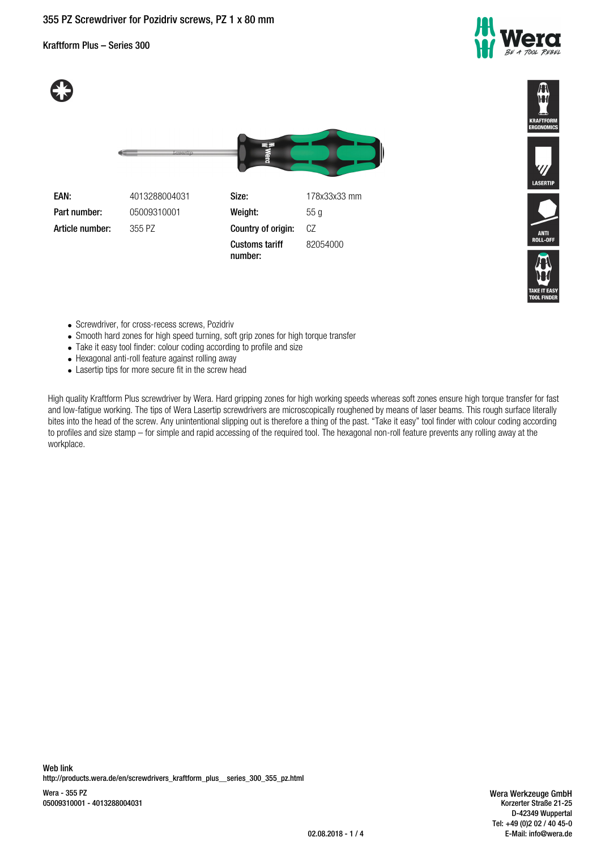# **355 PZ Screwdriver for Pozidriv screws, PZ 1 x 80 mm**

Kraftform Plus – Series 300







LASERTIP

- Screwdriver, for cross-recess screws, Pozidriv
- Smooth hard zones for high speed turning, soft grip zones for high torque transfer
- Take it easy tool finder: colour coding according to profile and size
- Hexagonal anti-roll feature against rolling away
- Lasertip tips for more secure fit in the screw head

High quality Kraftform Plus screwdriver by Wera. Hard gripping zones for high working speeds whereas soft zones ensure high torque transfer for fast and low-fatigue working. The tips of Wera Lasertip screwdrivers are microscopically roughened by means of laser beams. This rough surface literally bites into the head of the screw. Any unintentional slipping out is therefore a thing of the past. "Take it easy" tool finder with colour coding according to profiles and size stamp – for simple and rapid accessing of the required tool. The hexagonal non-roll feature prevents any rolling away at the workplace.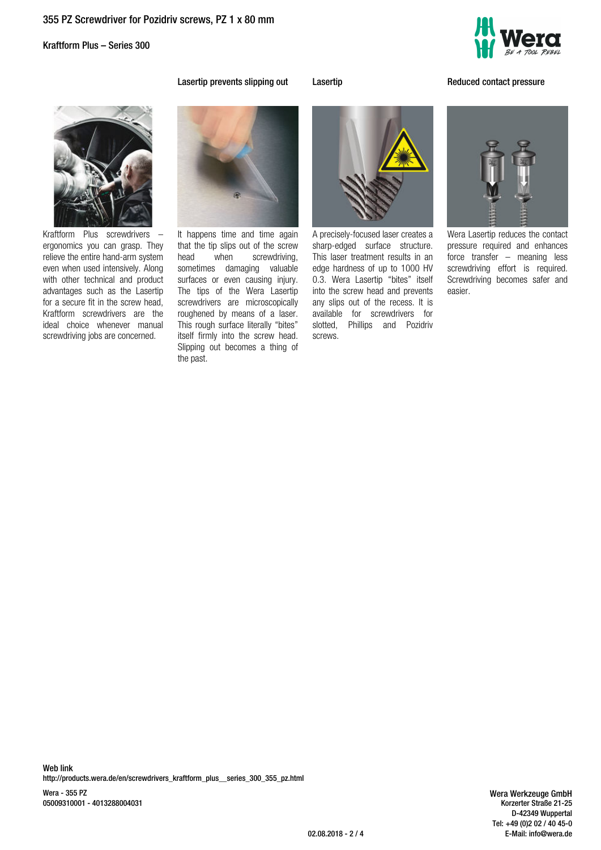Kraftform Plus – Series 300



**Lasertip prevents slipping out Lasertip Lasertip Reduced contact pressure** 



Kraftform Plus screwdrivers – ergonomics you can grasp. They relieve the entire hand-arm system even when used intensively. Along with other technical and product advantages such as the Lasertip for a secure fit in the screw head, Kraftform screwdrivers are the ideal choice whenever manual screwdriving jobs are concerned.



It happens time and time again that the tip slips out of the screw head when screwdriving, sometimes damaging valuable surfaces or even causing injury. The tips of the Wera Lasertip screwdrivers are microscopically roughened by means of a laser. This rough surface literally "bites" itself firmly into the screw head. Slipping out becomes a thing of the past.



A precisely-focused laser creates a sharp-edged surface structure. This laser treatment results in an edge hardness of up to 1000 HV 0.3. Wera Lasertip "bites" itself into the screw head and prevents any slips out of the recess. It is available for screwdrivers for slotted, Phillips and Pozidriv screws.

Wera Lasertip reduces the contact pressure required and enhances force transfer – meaning less screwdriving effort is required. Screwdriving becomes safer and easier.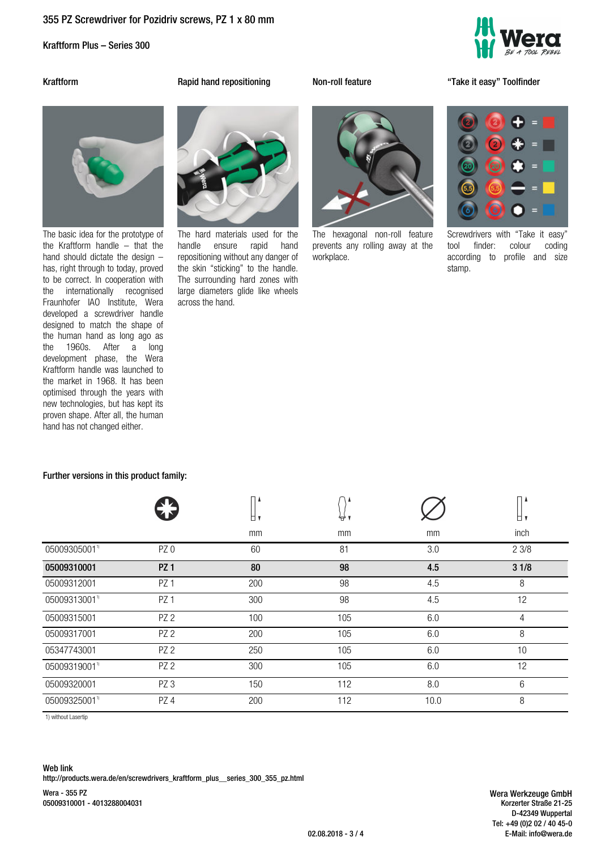# **355 PZ Screwdriver for Pozidriv screws, PZ 1 x 80 mm**

Kraftform Plus – Series 300



**Kraftform Rapid hand repositioning Non-roll feature "Take it easy" Toolfinder**



The basic idea for the prototype of the Kraftform handle – that the hand should dictate the design – has, right through to today, proved to be correct. In cooperation with the internationally recognised Fraunhofer IAO Institute, Wera developed a screwdriver handle designed to match the shape of the human hand as long ago as the 1960s. After a long development phase, the Wera Kraftform handle was launched to the market in 1968. It has been optimised through the years with new technologies, but has kept its proven shape. After all, the human hand has not changed either.

**Further versions in this product family:**



The hard materials used for the handle ensure rapid hand repositioning without any danger of the skin "sticking" to the handle. The surrounding hard zones with large diameters glide like wheels across the hand.



The hexagonal non-roll feature prevents any rolling away at the workplace.

Screwdrivers with "Take it easy" tool finder: colour coding according to profile and size stamp.

|              |                 | п١  | ₩   |      | ⊓ ≀  |  |
|--------------|-----------------|-----|-----|------|------|--|
|              |                 | mm  | mm  | mm   | inch |  |
| 05009305001" | PZ <sub>0</sub> | 60  | 81  | 3.0  | 23/8 |  |
| 05009310001  | <b>PZ1</b>      | 80  | 98  | 4.5  | 31/8 |  |
| 05009312001  | PZ <sub>1</sub> | 200 | 98  | 4.5  | 8    |  |
| 05009313001" | PZ <sub>1</sub> | 300 | 98  | 4.5  | 12   |  |
| 05009315001  | PZ <sub>2</sub> | 100 | 105 | 6.0  | 4    |  |
| 05009317001  | PZ <sub>2</sub> | 200 | 105 | 6.0  | 8    |  |
| 05347743001  | PZ <sub>2</sub> | 250 | 105 | 6.0  | 10   |  |
| 05009319001" | PZ <sub>2</sub> | 300 | 105 | 6.0  | 12   |  |
| 05009320001  | PZ <sub>3</sub> | 150 | 112 | 8.0  | 6    |  |
| 05009325001" | PZ4             | 200 | 112 | 10.0 | 8    |  |
|              |                 |     |     |      |      |  |

1) without Lasertip